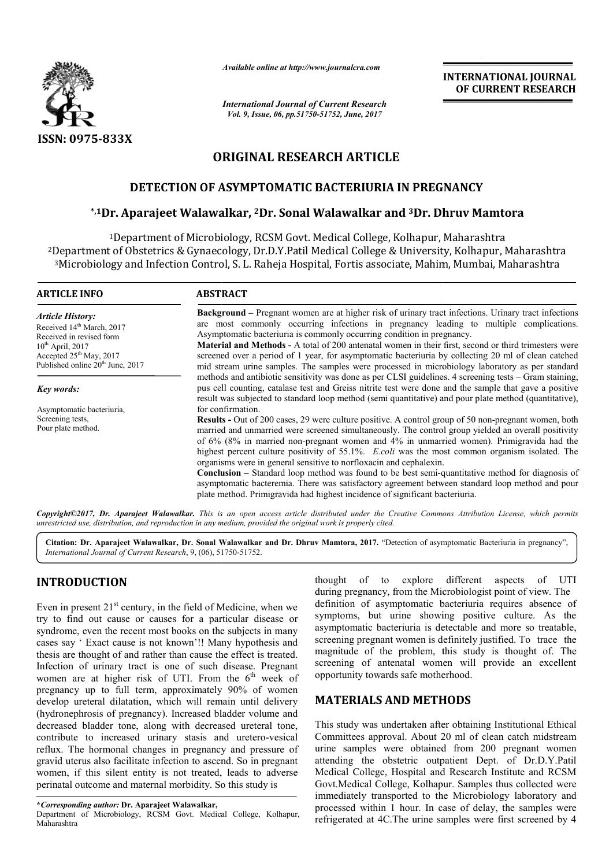

*Available online at http://www.journalcra.com*

*International Journal of Current Research Vol. 9, Issue, 06, pp.51750-51752, June, 2017*

**INTERNATIONAL JOURNAL OF CURRENT RESEARCH** 

# **ORIGINAL RESEARCH ARTICLE**

# **DETECTION OF ASYMPTOMATIC BACTERIURIA IN PREGNANCY**

## **\*,1Dr. Aparajeet Walawalkar Walawalkar, 2Dr. Sonal Walawalkar and 3Dr. Dhruv Mamtora Dhruv Mamtora**

<sup>1</sup>Department of Microbiology, RCSM Govt. Medical College, Kolhapur, Maharashtra <sup>2</sup>Department of Obstetrics & Gynaecology, Dr.D.Y.Patil Medical College & University, Kolhapur, Maharashtra <sup>3</sup>Microbiology and Infection Control, S. L. Raheja Hospital, Fortis associate, Mahim, Mumbai, Maharashtra

| <b>ARTICLE INFO</b>                                                                                | <b>ABSTRACT</b>                                                                                                                                                                                                                                                                                                                                                                                                                                                                                                                                                                                                                                                                                                                                                                     |
|----------------------------------------------------------------------------------------------------|-------------------------------------------------------------------------------------------------------------------------------------------------------------------------------------------------------------------------------------------------------------------------------------------------------------------------------------------------------------------------------------------------------------------------------------------------------------------------------------------------------------------------------------------------------------------------------------------------------------------------------------------------------------------------------------------------------------------------------------------------------------------------------------|
| <b>Article History:</b><br>Received 14 <sup>th</sup> March, 2017<br>Received in revised form       | <b>Background</b> – Pregnant women are at higher risk of urinary tract infections. Urinary tract infections<br>are most commonly occurring infections in pregnancy leading to multiple complications.<br>Asymptomatic bacteriuria is commonly occurring condition in pregnancy.                                                                                                                                                                                                                                                                                                                                                                                                                                                                                                     |
| $10^{th}$ April, 2017<br>Accepted $25th$ May, 2017<br>Published online 20 <sup>th</sup> June, 2017 | <b>Material and Methods - A total of 200 antenatal women in their first, second or third trimesters were</b><br>screened over a period of 1 year, for asymptomatic bacteriuria by collecting 20 ml of clean catched<br>mid stream urine samples. The samples were processed in microbiology laboratory as per standard                                                                                                                                                                                                                                                                                                                                                                                                                                                              |
| Key words:                                                                                         | methods and antibiotic sensitivity was done as per CLSI guidelines. 4 screening tests – Gram staining,<br>pus cell counting, catalase test and Greiss nitrite test were done and the sample that gave a positive<br>result was subjected to standard loop method (semi quantitative) and pour plate method (quantitative),                                                                                                                                                                                                                                                                                                                                                                                                                                                          |
| Asymptomatic bacteriuria,                                                                          | for confirmation.                                                                                                                                                                                                                                                                                                                                                                                                                                                                                                                                                                                                                                                                                                                                                                   |
| Screening tests,<br>Pour plate method.                                                             | <b>Results</b> - Out of 200 cases, 29 were culture positive. A control group of 50 non-pregnant women, both<br>married and unmarried were screened simultaneously. The control group yielded an overall positivity<br>of 6% (8% in married non-pregnant women and 4% in unmarried women). Primigravida had the<br>highest percent culture positivity of 55.1%. Ecoli was the most common organism isolated. The<br>organisms were in general sensitive to norfloxacin and cephalexin.<br><b>Conclusion</b> – Standard loop method was found to be best semi-quantitative method for diagnosis of<br>asymptomatic bacteremia. There was satisfactory agreement between standard loop method and pour<br>plate method. Primigravida had highest incidence of significant bacteriuria. |

*Copyright©2017, Dr. Aparajeet Walawalkar. This is an open access article distributed under the Creative Commons Att under the Attribution License, which permits unrestricted use, distribution, and reproduction in any medium, provided the original work is properly cited.*

Citation: Dr. Aparajeet Walawalkar, Dr. Sonal Walawalkar and Dr. Dhruv Mamtora, 2017. "Detection of asymptomatic Bacteriuria in pregnancy", *International Journal of Current Research*, 9, (06), 51750 51750-51752.

# **INTRODUCTION**

Even in present  $21<sup>st</sup>$  century, in the field of Medicine, when we try to find out cause or causes for a particular disease or syndrome, even the recent most books on the subjects in many cases say ' Exact cause is not known'!! Many hypothesis and thesis are thought of and rather than cause the effect is treated. Infection of urinary tract is one of such disease. Pregnant women are at higher risk of UTI. From the  $6<sup>th</sup>$  week of pregnancy up to full term, approximately 90% of women develop ureteral dilatation, which will remain until delivery (hydronephrosis of pregnancy). Increased bladder volume and decreased bladder tone, along with decreased ureteral tone, contribute to increased urinary stasis and uretero-vesical reflux. The hormonal changes in pregnancy and pressure of gravid uterus also facilitate infection to ascend. So in pregnant women, if this silent entity is not treated, leads to adverse perinatal outcome and maternal morbidity. So this study is **DUCTION**<br>
thought of explore different aspects of UTI<br>
than the field of Medicine, when we definition of asymptomatic bacteriuma requires absence of<br>
and out cause or causes for a particular disease or<br>
dout cause or cau

Department of Microbiology, RCSM Govt. Medical College, Kolhapur, Maharashtra

during pregnancy, from the Microbiologist point of view. The definition of asymptomatic bacteriuria requires absence of symptoms, but urine showing positive culture. As the asymptomatic bacteriuria is detectable and more so treatable, definition of asymptomatic bacteriuria requires absence of symptoms, but urine showing positive culture. As the asymptomatic bacteriuria is detectable and more so treatable, screening pregnant women is definitely justified magnitude of the problem, this study is thought of. The magnitude of the problem, this study is thought of. The screening of antenatal women will provide an excellent opportunity towards safe motherhood. thought of to explore different aspects of UTI

# **MATERIALS AND METHODS METHODS**

This study was undertaken after obtaining Institutional Ethical Committees approval. About 20 ml of clean catch midstream urine samples were obtained from 200 pregnant women This study was undertaken after obtaining Institutional Ethical Committees approval. About 20 ml of clean catch midstream urine samples were obtained from 200 pregnant women attending the obstetric outpatient Dept. of Dr.D Medical College, Hospital and Research Institute and RCSM Medical College, Hospital and Research Institute and RCSM<br>Govt.Medical College, Kolhapur. Samples thus collected were immediately transported to the Microbiology laboratory and processed within 1 hour. In case of delay, the samples were refrigerated at 4C. The urine samples were first screened by 4 immediately transported to the Microbiology laboratory and<br>processed within 1 hour. In case of delay, the samples were<br>refrigerated at 4C. The urine samples were first screened by 4

**<sup>\*</sup>***Corresponding author:* **Dr. Aparajeet Walawalkar,**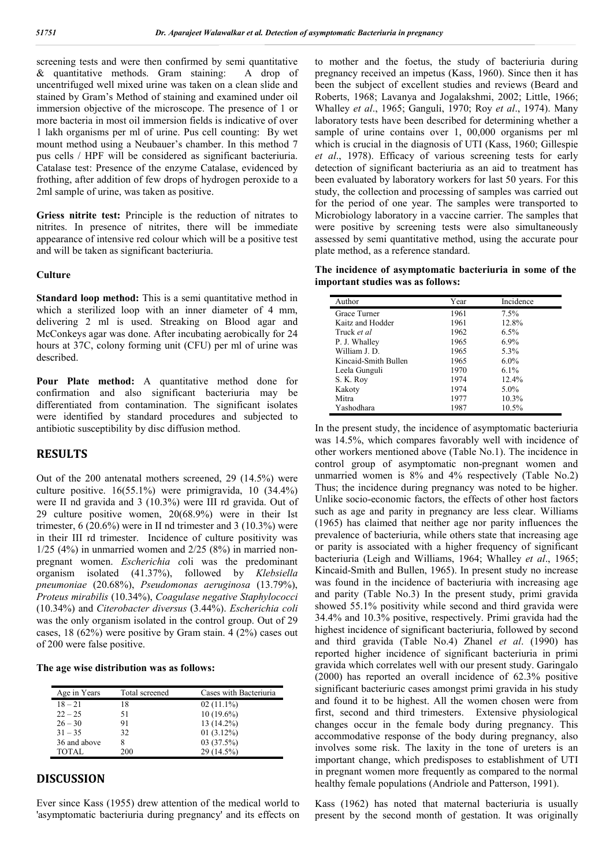screening tests and were then confirmed by semi quantitative & quantitative methods. Gram staining: A drop of uncentrifuged well mixed urine was taken on a clean slide and stained by Gram's Method of staining and examined under oil immersion objective of the microscope. The presence of 1 or more bacteria in most oil immersion fields is indicative of over 1 lakh organisms per ml of urine. Pus cell counting: By wet mount method using a Neubauer's chamber. In this method 7 pus cells / HPF will be considered as significant bacteriuria. Catalase test: Presence of the enzyme Catalase, evidenced by frothing, after addition of few drops of hydrogen peroxide to a 2ml sample of urine, was taken as positive.

**Griess nitrite test:** Principle is the reduction of nitrates to nitrites. In presence of nitrites, there will be immediate appearance of intensive red colour which will be a positive test and will be taken as significant bacteriuria.

#### **Culture**

**Standard loop method:** This is a semi quantitative method in which a sterilized loop with an inner diameter of 4 mm, delivering 2 ml is used. Streaking on Blood agar and McConkeys agar was done. After incubating aerobically for 24 hours at 37C, colony forming unit (CFU) per ml of urine was described.

Pour Plate method: A quantitative method done for confirmation and also significant bacteriuria may be differentiated from contamination. The significant isolates were identified by standard procedures and subjected to antibiotic susceptibility by disc diffusion method.

### **RESULTS**

Out of the 200 antenatal mothers screened, 29 (14.5%) were culture positive. 16(55.1%) were primigravida, 10 (34.4%) were II nd gravida and 3 (10.3%) were III rd gravida. Out of 29 culture positive women, 20(68.9%) were in their Ist trimester, 6 (20.6%) were in II nd trimester and 3 (10.3%) were in their III rd trimester. Incidence of culture positivity was  $1/25$  (4%) in unmarried women and  $2/25$  (8%) in married nonpregnant women. *Escherichia c*oli was the predominant organism isolated (41.37%), followed by *Klebsiella pneumoniae* (20.68%), *Pseudomonas aeruginosa* (13.79%), *Proteus mirabilis* (10.34%), *Coagulase negative Staphylococci* (10.34%) and *Citerobacter diversus* (3.44%). *Escherichia coli* was the only organism isolated in the control group. Out of 29 cases, 18 (62%) were positive by Gram stain. 4 (2%) cases out of 200 were false positive.

#### **The age wise distribution was as follows:**

| Age in Years | Total screened | Cases with Bacteriuria |
|--------------|----------------|------------------------|
| $18 - 21$    | 18             | $02(11.1\%)$           |
| $22 - 25$    | 51             | $10(19.6\%)$           |
| $26 - 30$    | 91             | 13 (14.2%)             |
| $31 - 35$    | 32             | 01(3.12%)              |
| 36 and above |                | 03 (37.5%)             |
| TOTAL        | 200            | 29 (14.5%)             |

### **DISCUSSION**

Ever since Kass (1955) drew attention of the medical world to 'asymptomatic bacteriuria during pregnancy' and its effects on to mother and the foetus, the study of bacteriuria during pregnancy received an impetus (Kass, 1960). Since then it has been the subject of excellent studies and reviews (Beard and Roberts, 1968; Lavanya and Jogalakshmi, 2002; Little, 1966; Whalley *et al*., 1965; Ganguli, 1970; Roy *et al*., 1974). Many laboratory tests have been described for determining whether a sample of urine contains over 1, 00,000 organisms per ml which is crucial in the diagnosis of UTI (Kass, 1960; Gillespie *et al*., 1978). Efficacy of various screening tests for early detection of significant bacteriuria as an aid to treatment has been evaluated by laboratory workers for last 50 years. For this study, the collection and processing of samples was carried out for the period of one year. The samples were transported to Microbiology laboratory in a vaccine carrier. The samples that were positive by screening tests were also simultaneously assessed by semi quantitative method, using the accurate pour plate method, as a reference standard.

**The incidence of asymptomatic bacteriuria in some of the important studies was as follows:**

| Author               | Year | Incidence |
|----------------------|------|-----------|
| Grace Turner         | 1961 | 7.5%      |
| Kaitz and Hodder     | 1961 | 12.8%     |
| Truck et al          | 1962 | 6.5%      |
| P. J. Whalley        | 1965 | 6.9%      |
| William J. D.        | 1965 | 5.3%      |
| Kincaid-Smith Bullen | 1965 | $6.0\%$   |
| Leela Gunguli        | 1970 | 6.1%      |
| S. K. Roy            | 1974 | 12.4%     |
| Kakoty               | 1974 | 5.0%      |
| Mitra                | 1977 | 10.3%     |
| Yashodhara           | 1987 | 10.5%     |

In the present study, the incidence of asymptomatic bacteriuria was 14.5%, which compares favorably well with incidence of other workers mentioned above (Table No.1). The incidence in control group of asymptomatic non-pregnant women and unmarried women is 8% and 4% respectively (Table No.2) Thus; the incidence during pregnancy was noted to be higher. Unlike socio-economic factors, the effects of other host factors such as age and parity in pregnancy are less clear. Williams (1965) has claimed that neither age nor parity influences the prevalence of bacteriuria, while others state that increasing age or parity is associated with a higher frequency of significant bacteriuria (Leigh and Williams, 1964; Whalley *et al*., 1965; Kincaid-Smith and Bullen, 1965). In present study no increase was found in the incidence of bacteriuria with increasing age and parity (Table No.3) In the present study, primi gravida showed 55.1% positivity while second and third gravida were 34.4% and 10.3% positive, respectively. Primi gravida had the highest incidence of significant bacteriuria, followed by second and third gravida (Table No.4) Zhanel *et al*. (1990) has reported higher incidence of significant bacteriuria in primi gravida which correlates well with our present study. Garingalo (2000) has reported an overall incidence of 62.3% positive significant bacteriuric cases amongst primi gravida in his study and found it to be highest. All the women chosen were from first, second and third trimesters. Extensive physiological changes occur in the female body during pregnancy. This accommodative response of the body during pregnancy, also involves some risk. The laxity in the tone of ureters is an important change, which predisposes to establishment of UTI in pregnant women more frequently as compared to the normal healthy female populations (Andriole and Patterson, 1991).

Kass (1962) has noted that maternal bacteriuria is usually present by the second month of gestation. It was originally